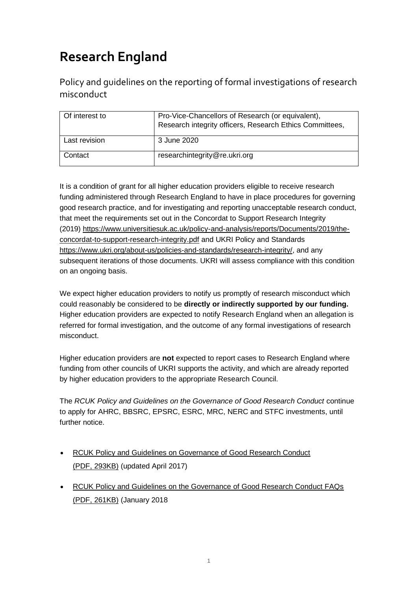# **Research England**

Policy and guidelines on the reporting of formal investigations of research misconduct

| Of interest to | Pro-Vice-Chancellors of Research (or equivalent),<br>Research integrity officers, Research Ethics Committees, |
|----------------|---------------------------------------------------------------------------------------------------------------|
| Last revision  | 3 June 2020                                                                                                   |
| Contact        | researchintegrity@re.ukri.org                                                                                 |

It is a condition of grant for all higher education providers eligible to receive research funding administered through Research England to have in place procedures for governing good research practice, and for investigating and reporting unacceptable research conduct, that meet the requirements set out in the Concordat to Support Research Integrity (2019) [https://www.universitiesuk.ac.uk/policy-and-analysis/reports/Documents/2019/the](https://www.universitiesuk.ac.uk/policy-and-analysis/reports/Documents/2019/the-concordat-to-support-research-integrity.pdf)[concordat-to-support-research-integrity.pdf](https://www.universitiesuk.ac.uk/policy-and-analysis/reports/Documents/2019/the-concordat-to-support-research-integrity.pdf) and UKRI Policy and Standards [https://www.ukri.org/about-us/policies-and-standards/research-integrity/,](https://www.ukri.org/about-us/policies-and-standards/research-integrity/) and any subsequent iterations of those documents. UKRI will assess compliance with this condition on an ongoing basis.

We expect higher education providers to notify us promptly of research misconduct which could reasonably be considered to be **directly or indirectly supported by our funding.** Higher education providers are expected to notify Research England when an allegation is referred for formal investigation, and the outcome of any formal investigations of research misconduct.

Higher education providers are **not** expected to report cases to Research England where funding from other councils of UKRI supports the activity, and which are already reported by higher education providers to the appropriate Research Council.

The *RCUK Policy and Guidelines on the Governance of Good Research Conduct* continue to apply for AHRC, BBSRC, EPSRC, ESRC, MRC, NERC and STFC investments, until further notice

- [RCUK Policy and Guidelines on Governance of Good Research Conduct](https://www.ukri.org/files/legacy/reviews/grc/rcuk-grp-policy-and-guidelines-updated-apr-17-2-pdf/)  (PDF, [293KB\)](https://www.ukri.org/files/legacy/reviews/grc/rcuk-grp-policy-and-guidelines-updated-apr-17-2-pdf/) (updated April 2017)
- **RCUK Policy and Guidelines on the Governance of Good Research Conduct FAQs** (PDF, [261KB\)](https://www.ukri.org/files/legacy/documents/rcuk-grp-policy-and-guidelines-faqs-jan-18-pdf/) (January 2018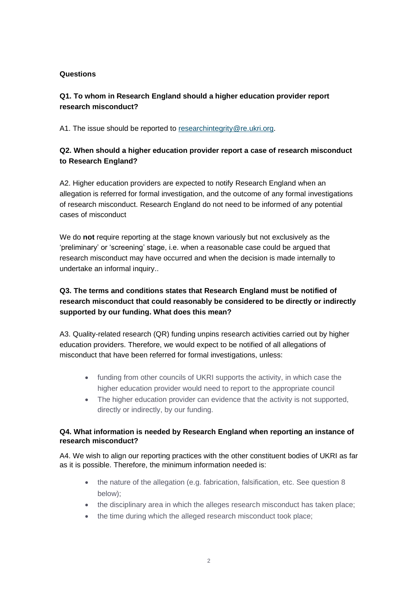#### **Questions**

### **Q1. To whom in Research England should a higher education provider report research misconduct?**

A1. The issue should be reported to [researchintegrity@re.ukri.org.](mailto:researchintegrity@re.ukri.org)

#### **Q2. When should a higher education provider report a case of research misconduct to Research England?**

A2. Higher education providers are expected to notify Research England when an allegation is referred for formal investigation, and the outcome of any formal investigations of research misconduct. Research England do not need to be informed of any potential cases of misconduct

We do **not** require reporting at the stage known variously but not exclusively as the 'preliminary' or 'screening' stage, i.e. when a reasonable case could be argued that research misconduct may have occurred and when the decision is made internally to undertake an informal inquiry..

## **Q3. The terms and conditions states that Research England must be notified of research misconduct that could reasonably be considered to be directly or indirectly supported by our funding. What does this mean?**

A3. Quality-related research (QR) funding unpins research activities carried out by higher education providers. Therefore, we would expect to be notified of all allegations of misconduct that have been referred for formal investigations, unless:

- funding from other councils of UKRI supports the activity, in which case the higher education provider would need to report to the appropriate council
- The higher education provider can evidence that the activity is not supported, directly or indirectly, by our funding.

#### **Q4. What information is needed by Research England when reporting an instance of research misconduct?**

A4. We wish to align our reporting practices with the other constituent bodies of UKRI as far as it is possible. Therefore, the minimum information needed is:

- the nature of the allegation (e.g. fabrication, falsification, etc. See question 8 below);
- the disciplinary area in which the alleges research misconduct has taken place;
- the time during which the alleged research misconduct took place;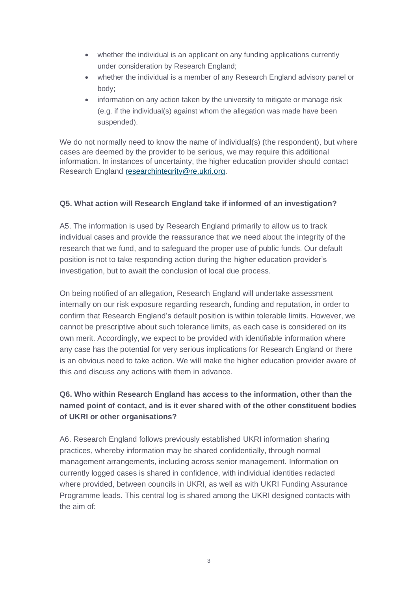- whether the individual is an applicant on any funding applications currently under consideration by Research England;
- whether the individual is a member of any Research England advisory panel or body;
- information on any action taken by the university to mitigate or manage risk (e.g. if the individual(s) against whom the allegation was made have been suspended).

We do not normally need to know the name of individual(s) (the respondent), but where cases are deemed by the provider to be serious, we may require this additional information. In instances of uncertainty, the higher education provider should contact Research England [researchintegrity@re.ukri.org.](mailto:researchintegrity@re.ukri.org)

#### **Q5. What action will Research England take if informed of an investigation?**

A5. The information is used by Research England primarily to allow us to track individual cases and provide the reassurance that we need about the integrity of the research that we fund, and to safeguard the proper use of public funds. Our default position is not to take responding action during the higher education provider's investigation, but to await the conclusion of local due process.

On being notified of an allegation, Research England will undertake assessment internally on our risk exposure regarding research, funding and reputation, in order to confirm that Research England's default position is within tolerable limits. However, we cannot be prescriptive about such tolerance limits, as each case is considered on its own merit. Accordingly, we expect to be provided with identifiable information where any case has the potential for very serious implications for Research England or there is an obvious need to take action. We will make the higher education provider aware of this and discuss any actions with them in advance.

## **Q6. Who within Research England has access to the information, other than the named point of contact, and is it ever shared with of the other constituent bodies of UKRI or other organisations?**

A6. Research England follows previously established UKRI information sharing practices, whereby information may be shared confidentially, through normal management arrangements, including across senior management. Information on currently logged cases is shared in confidence, with individual identities redacted where provided, between councils in UKRI, as well as with UKRI Funding Assurance Programme leads. This central log is shared among the UKRI designed contacts with the aim of: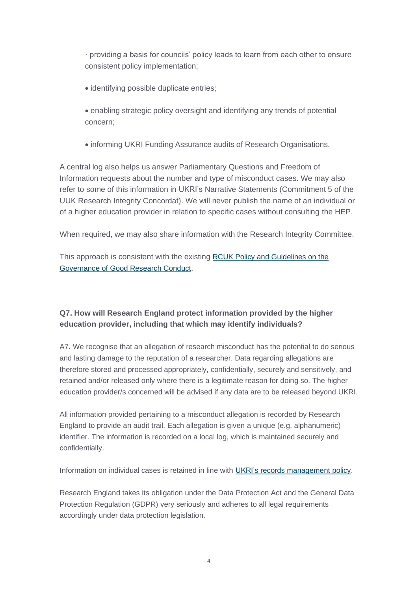· providing a basis for councils' policy leads to learn from each other to ensure consistent policy implementation;

- identifying possible duplicate entries;
- enabling strategic policy oversight and identifying any trends of potential concern;
- informing UKRI Funding Assurance audits of Research Organisations.

A central log also helps us answer Parliamentary Questions and Freedom of Information requests about the number and type of misconduct cases. We may also refer to some of this information in UKRI's Narrative Statements (Commitment 5 of the UUK Research Integrity Concordat). We will never publish the name of an individual or of a higher education provider in relation to specific cases without consulting the HEP.

When required, we may also share information with the Research Integrity Committee.

This approach is consistent with the existing [RCUK Policy and Guidelines on the](https://www.ukri.org/wp-content/uploads/2020/10/UKRI-020920-RCUKPolicyGuidelinesGovernanceOfGoodResearchConduct.pdf)  [Governance of Good Research Conduct.](https://www.ukri.org/wp-content/uploads/2020/10/UKRI-020920-RCUKPolicyGuidelinesGovernanceOfGoodResearchConduct.pdf)

## **Q7. How will Research England protect information provided by the higher education provider, including that which may identify individuals?**

A7. We recognise that an allegation of research misconduct has the potential to do serious and lasting damage to the reputation of a researcher. Data regarding allegations are therefore stored and processed appropriately, confidentially, securely and sensitively, and retained and/or released only where there is a legitimate reason for doing so. The higher education provider/s concerned will be advised if any data are to be released beyond UKRI.

All information provided pertaining to a misconduct allegation is recorded by Research England to provide an audit trail. Each allegation is given a unique (e.g. alphanumeric) identifier. The information is recorded on a local log, which is maintained securely and confidentially.

Information on individual cases is retained in line with [UKRI's records management policy.](https://www.ukri.org/files/termsconditions/ukri-records-management-policy-pdf/)

Research England takes its obligation under the Data Protection Act and the General Data Protection Regulation (GDPR) very seriously and adheres to all legal requirements accordingly under data protection legislation.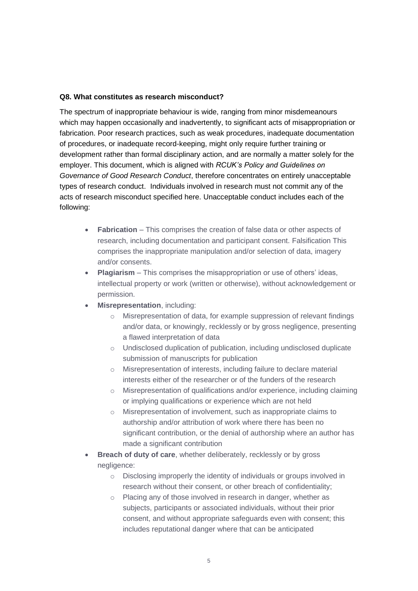#### **Q8. What constitutes as research misconduct?**

The spectrum of inappropriate behaviour is wide, ranging from minor misdemeanours which may happen occasionally and inadvertently, to significant acts of misappropriation or fabrication. Poor research practices, such as weak procedures, inadequate documentation of procedures, or inadequate record-keeping, might only require further training or development rather than formal disciplinary action, and are normally a matter solely for the employer. This document, which is aligned with *RCUK's Policy and Guidelines on Governance of Good Research Conduct*, therefore concentrates on entirely unacceptable types of research conduct. Individuals involved in research must not commit any of the acts of research misconduct specified here. Unacceptable conduct includes each of the following:

- **Fabrication** This comprises the creation of false data or other aspects of research, including documentation and participant consent. Falsification This comprises the inappropriate manipulation and/or selection of data, imagery and/or consents.
- **Plagiarism** This comprises the misappropriation or use of others' ideas, intellectual property or work (written or otherwise), without acknowledgement or permission.
- **Misrepresentation**, including:
	- o Misrepresentation of data, for example suppression of relevant findings and/or data, or knowingly, recklessly or by gross negligence, presenting a flawed interpretation of data
	- o Undisclosed duplication of publication, including undisclosed duplicate submission of manuscripts for publication
	- o Misrepresentation of interests, including failure to declare material interests either of the researcher or of the funders of the research
	- o Misrepresentation of qualifications and/or experience, including claiming or implying qualifications or experience which are not held
	- o Misrepresentation of involvement, such as inappropriate claims to authorship and/or attribution of work where there has been no significant contribution, or the denial of authorship where an author has made a significant contribution
- **Breach of duty of care**, whether deliberately, recklessly or by gross negligence:
	- o Disclosing improperly the identity of individuals or groups involved in research without their consent, or other breach of confidentiality;
	- o Placing any of those involved in research in danger, whether as subjects, participants or associated individuals, without their prior consent, and without appropriate safeguards even with consent; this includes reputational danger where that can be anticipated